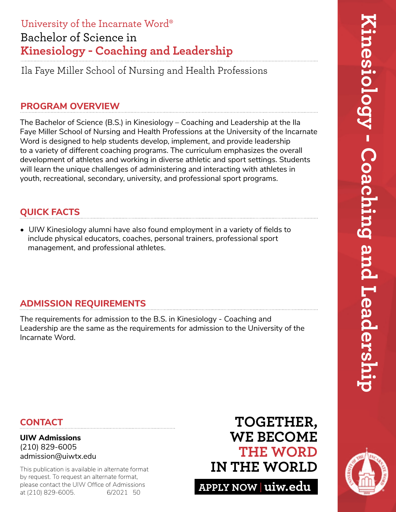# Bachelor of Science in **Kinesiology - Coaching and Leadership** University of the Incarnate Word®

Ila Faye Miller School of Nursing and Health Professions

### **PROGRAM OVERVIEW**

The Bachelor of Science (B.S.) in Kinesiology – Coaching and Leadership at the Ila Faye Miller School of Nursing and Health Professions at the University of the Incarnate Word is designed to help students develop, implement, and provide leadership to a variety of different coaching programs. The curriculum emphasizes the overall development of athletes and working in diverse athletic and sport settings. Students will learn the unique challenges of administering and interacting with athletes in youth, recreational, secondary, university, and professional sport programs.

# **QUICK FACTS**

• UIW Kinesiology alumni have also found employment in a variety of fields to include physical educators, coaches, personal trainers, professional sport management, and professional athletes.

## **ADMISSION REQUIREMENTS**

The requirements for admission to the B.S. in Kinesiology - Coaching and Leadership are the same as the requirements for admission to the University of the Incarnate Word.

## **CONTACT**

#### **UIW Admissions** (210) 829-6005 admission@uiwtx.edu

by request. To request an alternate format, please contact the UIW Office of Admissions at (210) 829-6005. 6/2021 50

# **TOGETHER, WE BECOME THE WORD** This publication is available in alternate format **IN THE WORLD**

**APPLY NOW uiw.edu**